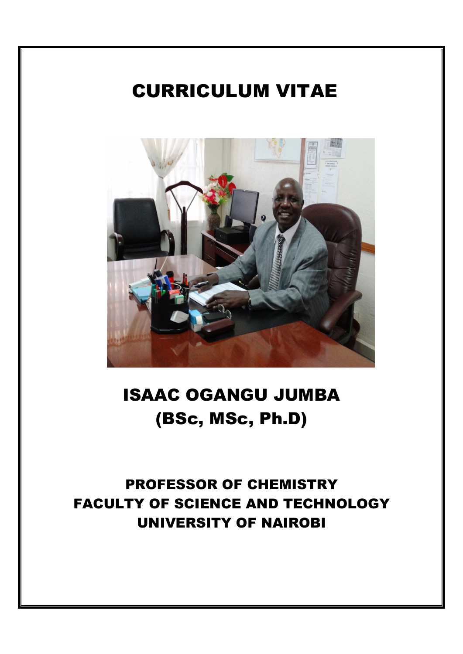# CURRICULUM VITAE



# ISAAC OGANGU JUMBA (BSc, MSc, Ph.D)

# PROFESSOR OF CHEMISTRY FACULTY OF SCIENCE AND TECHNOLOGY UNIVERSITY OF NAIROBI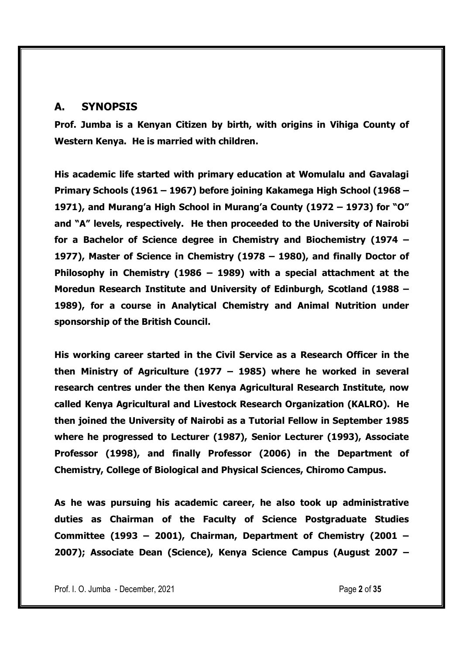### A. SYNOPSIS

Prof. Jumba is a Kenyan Citizen by birth, with origins in Vihiga County of Western Kenya. He is married with children.

His academic life started with primary education at Womulalu and Gavalagi Primary Schools (1961 – 1967) before joining Kakamega High School (1968 – 1971), and Murang'a High School in Murang'a County (1972 – 1973) for "O" and "A" levels, respectively. He then proceeded to the University of Nairobi for a Bachelor of Science degree in Chemistry and Biochemistry (1974 – 1977), Master of Science in Chemistry (1978 – 1980), and finally Doctor of Philosophy in Chemistry (1986 – 1989) with a special attachment at the Moredun Research Institute and University of Edinburgh, Scotland (1988 – 1989), for a course in Analytical Chemistry and Animal Nutrition under sponsorship of the British Council.

His working career started in the Civil Service as a Research Officer in the then Ministry of Agriculture (1977 – 1985) where he worked in several research centres under the then Kenya Agricultural Research Institute, now called Kenya Agricultural and Livestock Research Organization (KALRO). He then joined the University of Nairobi as a Tutorial Fellow in September 1985 where he progressed to Lecturer (1987), Senior Lecturer (1993), Associate Professor (1998), and finally Professor (2006) in the Department of Chemistry, College of Biological and Physical Sciences, Chiromo Campus.

As he was pursuing his academic career, he also took up administrative duties as Chairman of the Faculty of Science Postgraduate Studies Committee (1993 – 2001), Chairman, Department of Chemistry (2001 – 2007); Associate Dean (Science), Kenya Science Campus (August 2007 –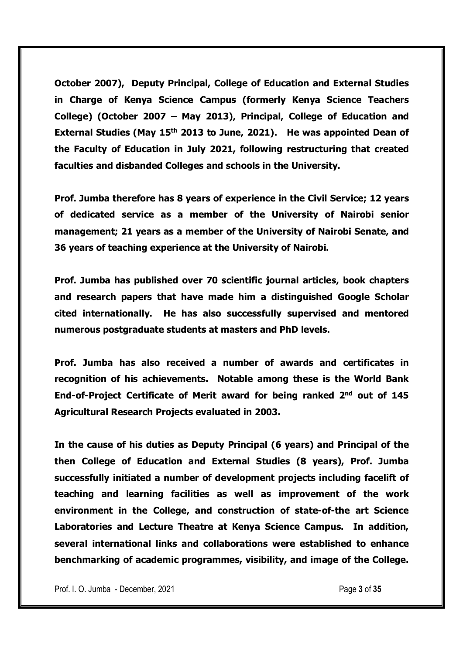October 2007), Deputy Principal, College of Education and External Studies in Charge of Kenya Science Campus (formerly Kenya Science Teachers College) (October 2007 – May 2013), Principal, College of Education and External Studies (May 15<sup>th</sup> 2013 to June, 2021). He was appointed Dean of the Faculty of Education in July 2021, following restructuring that created faculties and disbanded Colleges and schools in the University.

Prof. Jumba therefore has 8 years of experience in the Civil Service; 12 years of dedicated service as a member of the University of Nairobi senior management; 21 years as a member of the University of Nairobi Senate, and 36 years of teaching experience at the University of Nairobi.

Prof. Jumba has published over 70 scientific journal articles, book chapters and research papers that have made him a distinguished Google Scholar cited internationally. He has also successfully supervised and mentored numerous postgraduate students at masters and PhD levels.

Prof. Jumba has also received a number of awards and certificates in recognition of his achievements. Notable among these is the World Bank End-of-Project Certificate of Merit award for being ranked 2<sup>nd</sup> out of 145 Agricultural Research Projects evaluated in 2003.

In the cause of his duties as Deputy Principal (6 years) and Principal of the then College of Education and External Studies (8 years), Prof. Jumba successfully initiated a number of development projects including facelift of teaching and learning facilities as well as improvement of the work environment in the College, and construction of state-of-the art Science Laboratories and Lecture Theatre at Kenya Science Campus. In addition, several international links and collaborations were established to enhance benchmarking of academic programmes, visibility, and image of the College.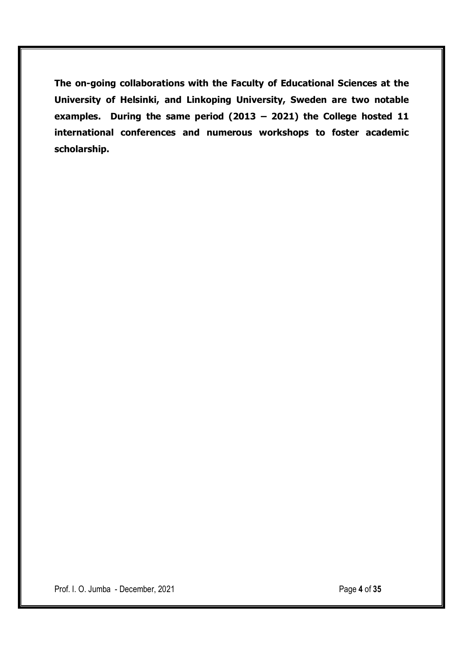The on-going collaborations with the Faculty of Educational Sciences at the University of Helsinki, and Linkoping University, Sweden are two notable examples. During the same period (2013 – 2021) the College hosted 11 international conferences and numerous workshops to foster academic scholarship.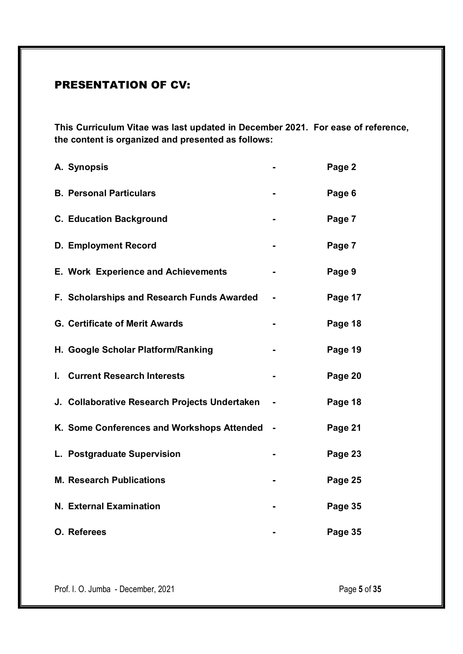# PRESENTATION OF CV:

This Curriculum Vitae was last updated in December 2021. For ease of reference, the content is organized and presented as follows:

|    | A. Synopsis                                   | Page 2  |
|----|-----------------------------------------------|---------|
|    | <b>B. Personal Particulars</b>                | Page 6  |
|    | <b>C. Education Background</b>                | Page 7  |
|    | <b>D. Employment Record</b>                   | Page 7  |
|    | <b>E. Work Experience and Achievements</b>    | Page 9  |
|    | F. Scholarships and Research Funds Awarded    | Page 17 |
|    | <b>G. Certificate of Merit Awards</b>         | Page 18 |
|    | H. Google Scholar Platform/Ranking            | Page 19 |
| L. | <b>Current Research Interests</b>             | Page 20 |
|    | J. Collaborative Research Projects Undertaken | Page 18 |
|    | K. Some Conferences and Workshops Attended    | Page 21 |
|    | L. Postgraduate Supervision                   | Page 23 |
|    | <b>M. Research Publications</b>               | Page 25 |
|    | <b>N. External Examination</b>                | Page 35 |
|    | O. Referees                                   | Page 35 |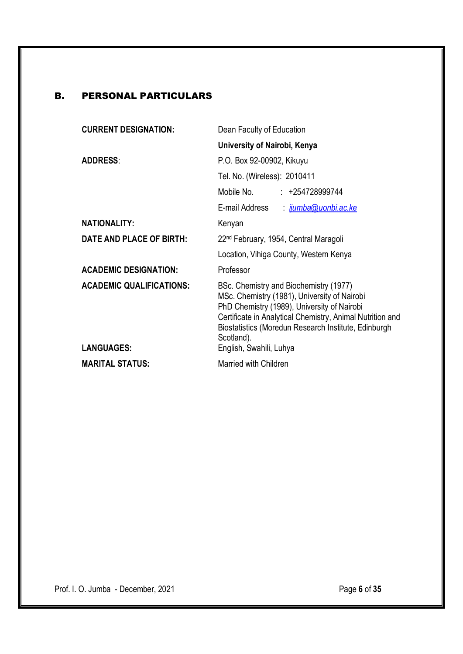# B. PERSONAL PARTICULARS

| University of Nairobi, Kenya                                                                                                                                                                                                                                                                        |  |
|-----------------------------------------------------------------------------------------------------------------------------------------------------------------------------------------------------------------------------------------------------------------------------------------------------|--|
| P.O. Box 92-00902, Kikuyu                                                                                                                                                                                                                                                                           |  |
| Tel. No. (Wireless): 2010411                                                                                                                                                                                                                                                                        |  |
| Mobile No.<br>$: +254728999744$                                                                                                                                                                                                                                                                     |  |
| E-mail Address<br><u>ijumba@uonbi.ac.ke</u>                                                                                                                                                                                                                                                         |  |
| Kenyan                                                                                                                                                                                                                                                                                              |  |
| 22 <sup>nd</sup> February, 1954, Central Maragoli                                                                                                                                                                                                                                                   |  |
| Location, Vihiga County, Western Kenya                                                                                                                                                                                                                                                              |  |
| Professor                                                                                                                                                                                                                                                                                           |  |
| BSc. Chemistry and Biochemistry (1977)<br>MSc. Chemistry (1981), University of Nairobi<br>PhD Chemistry (1989), University of Nairobi<br>Certificate in Analytical Chemistry, Animal Nutrition and<br>Biostatistics (Moredun Research Institute, Edinburgh<br>Scotland).<br>English, Swahili, Luhya |  |
| Married with Children                                                                                                                                                                                                                                                                               |  |
|                                                                                                                                                                                                                                                                                                     |  |

Prof. I. O. Jumba - December, 2021 **Page 6 of 35**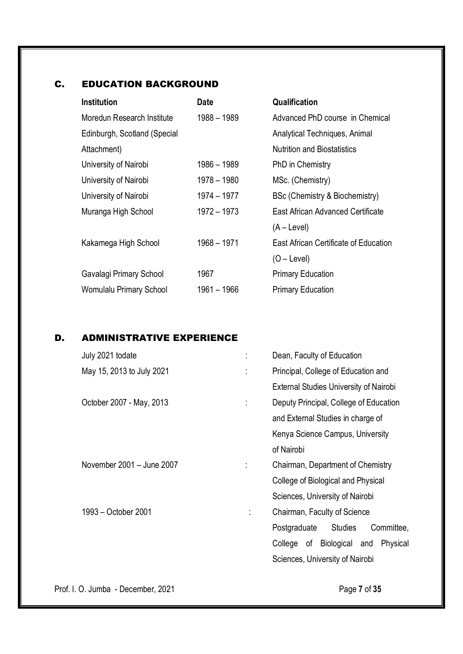# C. EDUCATION BACKGROUND

| <b>Date</b> | Qualification                                |
|-------------|----------------------------------------------|
| 1988 - 1989 | Advanced PhD course in Chemical              |
|             | Analytical Techniques, Animal                |
|             | <b>Nutrition and Biostatistics</b>           |
| 1986 - 1989 | PhD in Chemistry                             |
| 1978 - 1980 | MSc. (Chemistry)                             |
| 1974 - 1977 | BSc (Chemistry & Biochemistry)               |
| 1972 – 1973 | East African Advanced Certificate            |
|             | $(A - Level)$                                |
| 1968 - 1971 | <b>East African Certificate of Education</b> |
|             | $(O - Level)$                                |
| 1967        | <b>Primary Education</b>                     |
| 1961 – 1966 | <b>Primary Education</b>                     |
|             |                                              |

# D. ADMINISTRATIVE EXPERIENCE

|  | July 2021 todate          |                                   | Dean, Faculty of Education                   |  |
|--|---------------------------|-----------------------------------|----------------------------------------------|--|
|  | May 15, 2013 to July 2021 | ÷                                 | Principal, College of Education and          |  |
|  |                           |                                   | External Studies University of Nairobi       |  |
|  | October 2007 - May, 2013  |                                   | Deputy Principal, College of Education       |  |
|  |                           |                                   | and External Studies in charge of            |  |
|  |                           |                                   | Kenya Science Campus, University             |  |
|  |                           |                                   | of Nairobi                                   |  |
|  | November 2001 - June 2007 | Chairman, Department of Chemistry |                                              |  |
|  |                           |                                   | College of Biological and Physical           |  |
|  |                           |                                   | Sciences, University of Nairobi              |  |
|  | 1993 - October 2001       | ÷                                 | Chairman, Faculty of Science                 |  |
|  |                           |                                   | <b>Studies</b><br>Committee,<br>Postgraduate |  |
|  |                           |                                   | College of Biological and<br>Physical        |  |
|  |                           |                                   | Sciences, University of Nairobi              |  |

Prof. I. O. Jumba - December, 2021 **Page 7 of 35**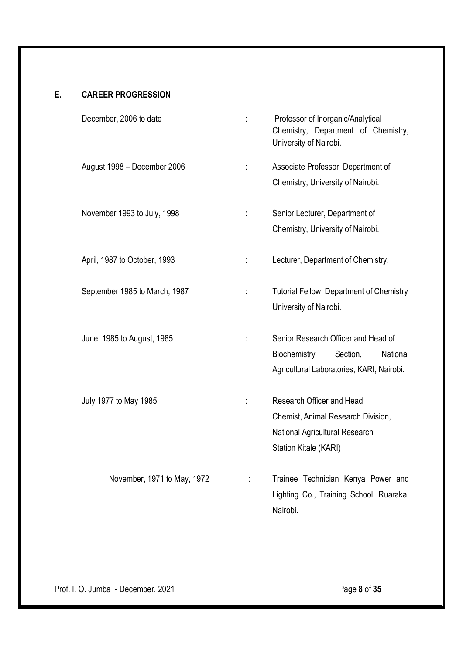# E. CAREER PROGRESSION

| December, 2006 to date        |   | Professor of Inorganic/Analytical<br>Chemistry, Department of Chemistry,<br>University of Nairobi.                         |
|-------------------------------|---|----------------------------------------------------------------------------------------------------------------------------|
| August 1998 - December 2006   | ÷ | Associate Professor, Department of<br>Chemistry, University of Nairobi.                                                    |
| November 1993 to July, 1998   | ÷ | Senior Lecturer, Department of<br>Chemistry, University of Nairobi.                                                        |
| April, 1987 to October, 1993  | ÷ | Lecturer, Department of Chemistry.                                                                                         |
| September 1985 to March, 1987 |   | <b>Tutorial Fellow, Department of Chemistry</b><br>University of Nairobi.                                                  |
| June, 1985 to August, 1985    |   | Senior Research Officer and Head of<br>Biochemistry<br>Section,<br>National<br>Agricultural Laboratories, KARI, Nairobi.   |
| July 1977 to May 1985         |   | Research Officer and Head<br>Chemist, Animal Research Division,<br>National Agricultural Research<br>Station Kitale (KARI) |
| November, 1971 to May, 1972   | ÷ | Trainee Technician Kenya Power and<br>Lighting Co., Training School, Ruaraka,<br>Nairobi.                                  |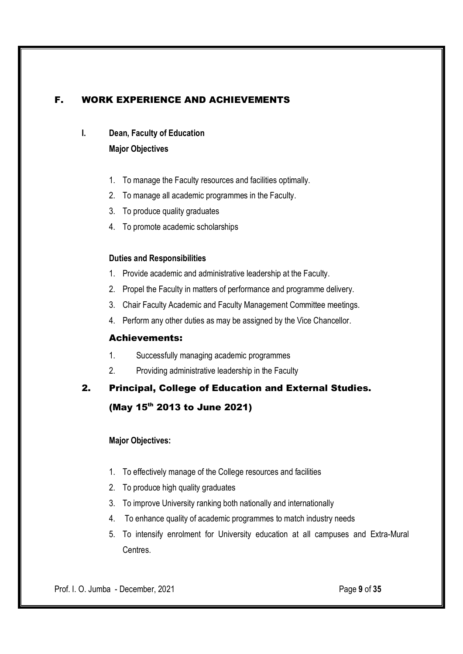# F. WORK EXPERIENCE AND ACHIEVEMENTS

# I. Dean, Faculty of Education

### Major Objectives

- 1. To manage the Faculty resources and facilities optimally.
- 2. To manage all academic programmes in the Faculty.
- 3. To produce quality graduates
- 4. To promote academic scholarships

### Duties and Responsibilities

- 1. Provide academic and administrative leadership at the Faculty.
- 2. Propel the Faculty in matters of performance and programme delivery.
- 3. Chair Faculty Academic and Faculty Management Committee meetings.
- 4. Perform any other duties as may be assigned by the Vice Chancellor.

### Achievements:

- 1. Successfully managing academic programmes
- 2. Providing administrative leadership in the Faculty

# 2. Principal, College of Education and External Studies. (May 15<sup>th</sup> 2013 to June 2021)

### Major Objectives:

- 1. To effectively manage of the College resources and facilities
- 2. To produce high quality graduates
- 3. To improve University ranking both nationally and internationally
- 4. To enhance quality of academic programmes to match industry needs
- 5. To intensify enrolment for University education at all campuses and Extra-Mural Centres.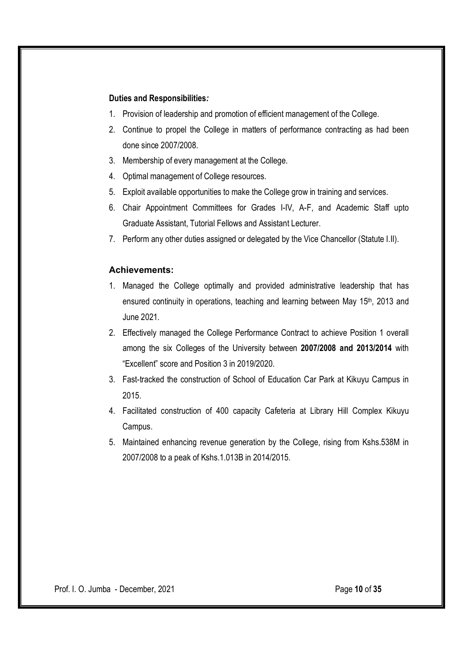### Duties and Responsibilities*:*

- 1. Provision of leadership and promotion of efficient management of the College.
- 2. Continue to propel the College in matters of performance contracting as had been done since 2007/2008.
- 3. Membership of every management at the College.
- 4. Optimal management of College resources.
- 5. Exploit available opportunities to make the College grow in training and services.
- 6. Chair Appointment Committees for Grades I-IV, A-F, and Academic Staff upto Graduate Assistant, Tutorial Fellows and Assistant Lecturer.
- 7. Perform any other duties assigned or delegated by the Vice Chancellor (Statute I.II).

### Achievements:

- 1. Managed the College optimally and provided administrative leadership that has ensured continuity in operations, teaching and learning between May 15<sup>th</sup>, 2013 and June 2021.
- 2. Effectively managed the College Performance Contract to achieve Position 1 overall among the six Colleges of the University between 2007/2008 and 2013/2014 with "Excellent" score and Position 3 in 2019/2020.
- 3. Fast-tracked the construction of School of Education Car Park at Kikuyu Campus in 2015.
- 4. Facilitated construction of 400 capacity Cafeteria at Library Hill Complex Kikuyu Campus.
- 5. Maintained enhancing revenue generation by the College, rising from Kshs.538M in 2007/2008 to a peak of Kshs.1.013B in 2014/2015.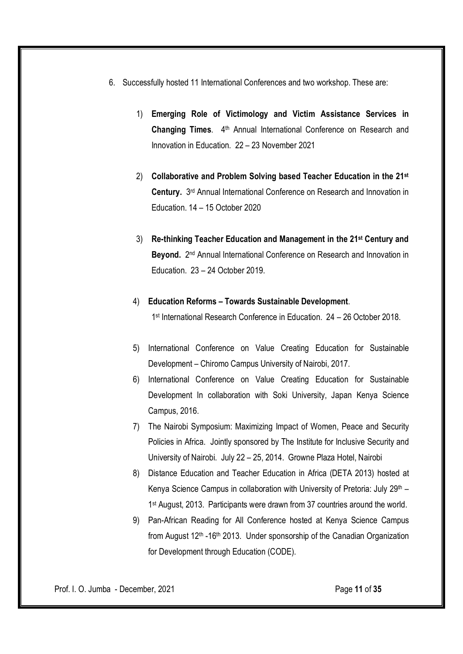- 6. Successfully hosted 11 International Conferences and two workshop. These are:
	- 1) Emerging Role of Victimology and Victim Assistance Services in Changing Times. 4<sup>th</sup> Annual International Conference on Research and Innovation in Education. 22 – 23 November 2021
	- 2) Collaborative and Problem Solving based Teacher Education in the 21<sup>st</sup> Century. 3rd Annual International Conference on Research and Innovation in Education. 14 – 15 October 2020
	- 3) Re-thinking Teacher Education and Management in the 21st Century and Beyond. 2nd Annual International Conference on Research and Innovation in Education. 23 – 24 October 2019.

#### 4) Education Reforms – Towards Sustainable Development.

1st International Research Conference in Education. 24 – 26 October 2018.

- 5) International Conference on Value Creating Education for Sustainable Development – Chiromo Campus University of Nairobi, 2017.
- 6) International Conference on Value Creating Education for Sustainable Development In collaboration with Soki University, Japan Kenya Science Campus, 2016.
- 7) The Nairobi Symposium: Maximizing Impact of Women, Peace and Security Policies in Africa. Jointly sponsored by The Institute for Inclusive Security and University of Nairobi. July 22 – 25, 2014. Growne Plaza Hotel, Nairobi
- 8) Distance Education and Teacher Education in Africa (DETA 2013) hosted at Kenya Science Campus in collaboration with University of Pretoria: July  $29<sup>th</sup>$  – 1<sup>st</sup> August, 2013. Participants were drawn from 37 countries around the world.
- 9) Pan-African Reading for All Conference hosted at Kenya Science Campus from August  $12<sup>th</sup> -16<sup>th</sup> 2013$ . Under sponsorship of the Canadian Organization for Development through Education (CODE).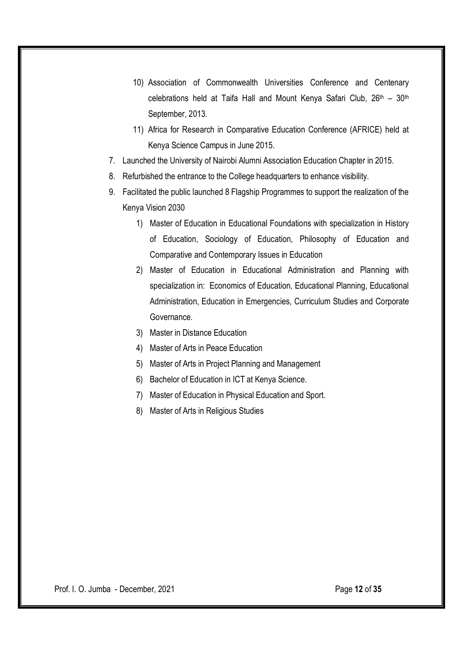- 10) Association of Commonwealth Universities Conference and Centenary celebrations held at Taifa Hall and Mount Kenya Safari Club, 26th – 30th September, 2013.
- 11) Africa for Research in Comparative Education Conference (AFRICE) held at Kenya Science Campus in June 2015.
- 7. Launched the University of Nairobi Alumni Association Education Chapter in 2015.
- 8. Refurbished the entrance to the College headquarters to enhance visibility.
- 9. Facilitated the public launched 8 Flagship Programmes to support the realization of the Kenya Vision 2030
	- 1) Master of Education in Educational Foundations with specialization in History of Education, Sociology of Education, Philosophy of Education and Comparative and Contemporary Issues in Education
	- 2) Master of Education in Educational Administration and Planning with specialization in: Economics of Education, Educational Planning, Educational Administration, Education in Emergencies, Curriculum Studies and Corporate Governance.
	- 3) Master in Distance Education
	- 4) Master of Arts in Peace Education
	- 5) Master of Arts in Project Planning and Management
	- 6) Bachelor of Education in ICT at Kenya Science.
	- 7) Master of Education in Physical Education and Sport.
	- 8) Master of Arts in Religious Studies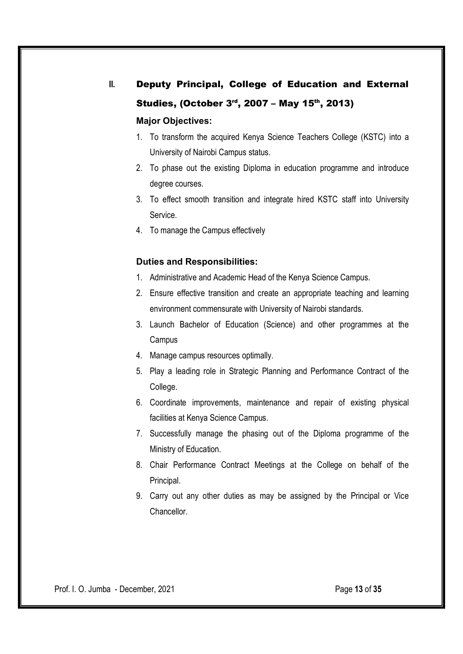# II. Deputy Principal, College of Education and External Studies, (October  $3<sup>rd</sup>$ , 2007 – May 15<sup>th</sup>, 2013) Major Objectives:

- 1. To transform the acquired Kenya Science Teachers College (KSTC) into a University of Nairobi Campus status.
- 2. To phase out the existing Diploma in education programme and introduce degree courses.
- 3. To effect smooth transition and integrate hired KSTC staff into University Service.
- 4. To manage the Campus effectively

### Duties and Responsibilities:

- 1. Administrative and Academic Head of the Kenya Science Campus.
- 2. Ensure effective transition and create an appropriate teaching and learning environment commensurate with University of Nairobi standards.
- 3. Launch Bachelor of Education (Science) and other programmes at the Campus
- 4. Manage campus resources optimally.
- 5. Play a leading role in Strategic Planning and Performance Contract of the College.
- 6. Coordinate improvements, maintenance and repair of existing physical facilities at Kenya Science Campus.
- 7. Successfully manage the phasing out of the Diploma programme of the Ministry of Education.
- 8. Chair Performance Contract Meetings at the College on behalf of the Principal.
- 9. Carry out any other duties as may be assigned by the Principal or Vice Chancellor.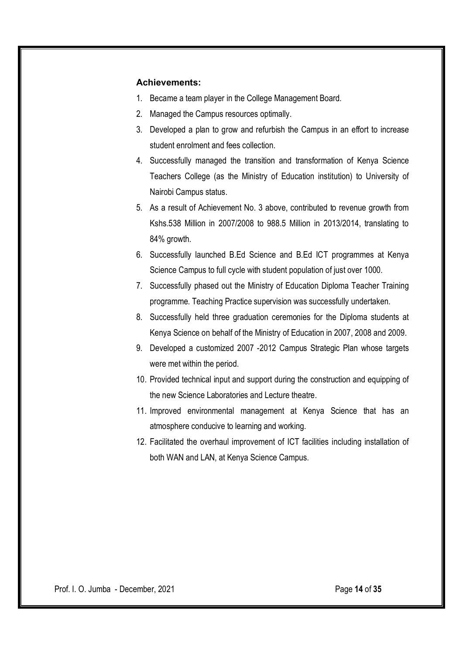### Achievements:

- 1. Became a team player in the College Management Board.
- 2. Managed the Campus resources optimally.
- 3. Developed a plan to grow and refurbish the Campus in an effort to increase student enrolment and fees collection.
- 4. Successfully managed the transition and transformation of Kenya Science Teachers College (as the Ministry of Education institution) to University of Nairobi Campus status.
- 5. As a result of Achievement No. 3 above, contributed to revenue growth from Kshs.538 Million in 2007/2008 to 988.5 Million in 2013/2014, translating to 84% growth.
- 6. Successfully launched B.Ed Science and B.Ed ICT programmes at Kenya Science Campus to full cycle with student population of just over 1000.
- 7. Successfully phased out the Ministry of Education Diploma Teacher Training programme. Teaching Practice supervision was successfully undertaken.
- 8. Successfully held three graduation ceremonies for the Diploma students at Kenya Science on behalf of the Ministry of Education in 2007, 2008 and 2009.
- 9. Developed a customized 2007 -2012 Campus Strategic Plan whose targets were met within the period.
- 10. Provided technical input and support during the construction and equipping of the new Science Laboratories and Lecture theatre.
- 11. Improved environmental management at Kenya Science that has an atmosphere conducive to learning and working.
- 12. Facilitated the overhaul improvement of ICT facilities including installation of both WAN and LAN, at Kenya Science Campus.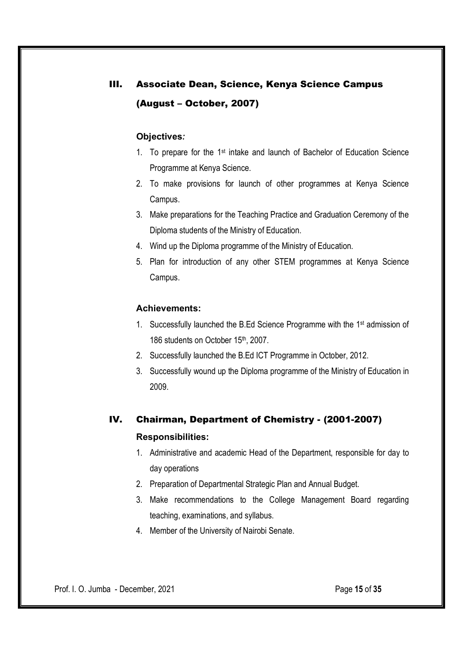# III. Associate Dean, Science, Kenya Science Campus (August – October, 2007)

### Objectives*:*

- 1. To prepare for the 1st intake and launch of Bachelor of Education Science Programme at Kenya Science.
- 2. To make provisions for launch of other programmes at Kenya Science Campus.
- 3. Make preparations for the Teaching Practice and Graduation Ceremony of the Diploma students of the Ministry of Education.
- 4. Wind up the Diploma programme of the Ministry of Education.
- 5. Plan for introduction of any other STEM programmes at Kenya Science Campus.

### Achievements:

- 1. Successfully launched the B.Ed Science Programme with the 1st admission of 186 students on October 15th, 2007.
- 2. Successfully launched the B.Ed ICT Programme in October, 2012.
- 3. Successfully wound up the Diploma programme of the Ministry of Education in 2009.

# IV. Chairman, Department of Chemistry - (2001-2007)

### Responsibilities:

- 1. Administrative and academic Head of the Department, responsible for day to day operations
- 2. Preparation of Departmental Strategic Plan and Annual Budget.
- 3. Make recommendations to the College Management Board regarding teaching, examinations, and syllabus.
- 4. Member of the University of Nairobi Senate.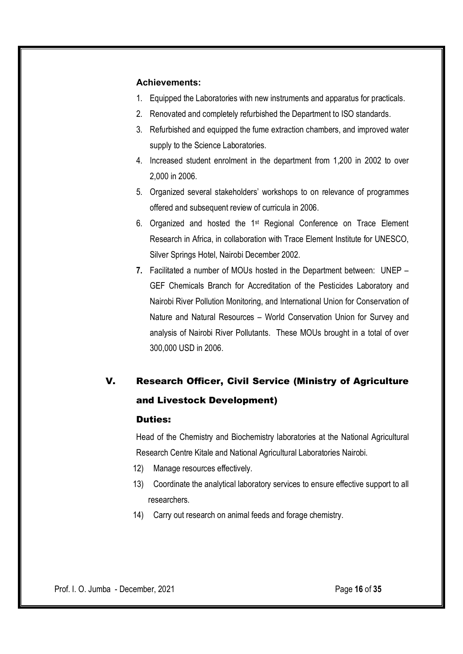### Achievements:

- 1. Equipped the Laboratories with new instruments and apparatus for practicals.
- 2. Renovated and completely refurbished the Department to ISO standards.
- 3. Refurbished and equipped the fume extraction chambers, and improved water supply to the Science Laboratories.
- 4. Increased student enrolment in the department from 1,200 in 2002 to over 2,000 in 2006.
- 5. Organized several stakeholders' workshops to on relevance of programmes offered and subsequent review of curricula in 2006.
- 6. Organized and hosted the 1st Regional Conference on Trace Element Research in Africa, in collaboration with Trace Element Institute for UNESCO, Silver Springs Hotel, Nairobi December 2002.
- 7. Facilitated a number of MOUs hosted in the Department between: UNEP GEF Chemicals Branch for Accreditation of the Pesticides Laboratory and Nairobi River Pollution Monitoring, and International Union for Conservation of Nature and Natural Resources – World Conservation Union for Survey and analysis of Nairobi River Pollutants. These MOUs brought in a total of over 300,000 USD in 2006.

# V. Research Officer, Civil Service (Ministry of Agriculture and Livestock Development)

#### Duties:

Head of the Chemistry and Biochemistry laboratories at the National Agricultural Research Centre Kitale and National Agricultural Laboratories Nairobi.

- 12) Manage resources effectively.
- 13) Coordinate the analytical laboratory services to ensure effective support to all researchers.
- 14) Carry out research on animal feeds and forage chemistry.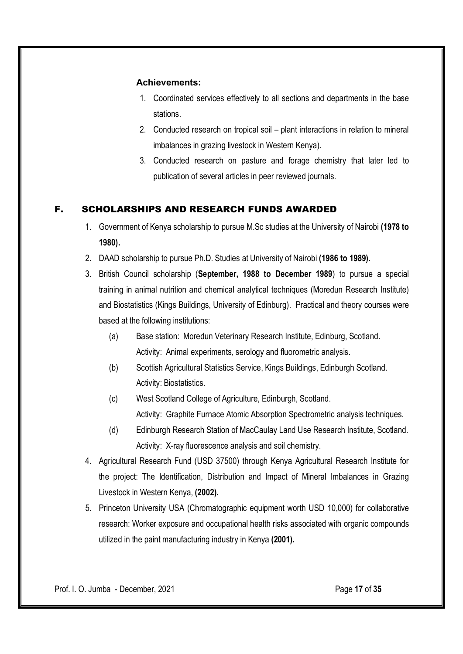### Achievements:

- 1. Coordinated services effectively to all sections and departments in the base stations.
- 2. Conducted research on tropical soil plant interactions in relation to mineral imbalances in grazing livestock in Western Kenya).
- 3. Conducted research on pasture and forage chemistry that later led to publication of several articles in peer reviewed journals.

## F. SCHOLARSHIPS AND RESEARCH FUNDS AWARDED

- 1. Government of Kenya scholarship to pursue M.Sc studies at the University of Nairobi (1978 to 1980).
- 2. DAAD scholarship to pursue Ph.D. Studies at University of Nairobi (1986 to 1989).
- 3. British Council scholarship (September, 1988 to December 1989) to pursue a special training in animal nutrition and chemical analytical techniques (Moredun Research Institute) and Biostatistics (Kings Buildings, University of Edinburg). Practical and theory courses were based at the following institutions:
	- (a) Base station: Moredun Veterinary Research Institute, Edinburg, Scotland. Activity: Animal experiments, serology and fluorometric analysis.
	- (b) Scottish Agricultural Statistics Service, Kings Buildings, Edinburgh Scotland. Activity: Biostatistics.
	- (c) West Scotland College of Agriculture, Edinburgh, Scotland. Activity: Graphite Furnace Atomic Absorption Spectrometric analysis techniques.
	- (d) Edinburgh Research Station of MacCaulay Land Use Research Institute, Scotland. Activity: X-ray fluorescence analysis and soil chemistry.
- 4. Agricultural Research Fund (USD 37500) through Kenya Agricultural Research Institute for the project: The Identification, Distribution and Impact of Mineral Imbalances in Grazing Livestock in Western Kenya, (2002).
- 5. Princeton University USA (Chromatographic equipment worth USD 10,000) for collaborative research: Worker exposure and occupational health risks associated with organic compounds utilized in the paint manufacturing industry in Kenya (2001).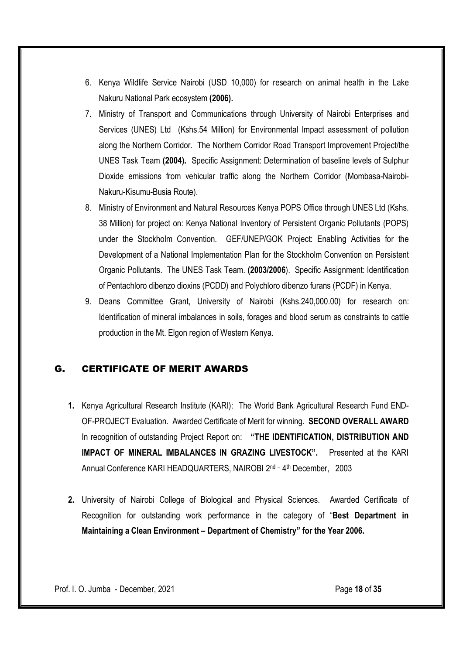- 6. Kenya Wildlife Service Nairobi (USD 10,000) for research on animal health in the Lake Nakuru National Park ecosystem (2006).
- 7. Ministry of Transport and Communications through University of Nairobi Enterprises and Services (UNES) Ltd (Kshs.54 Million) for Environmental Impact assessment of pollution along the Northern Corridor. The Northern Corridor Road Transport Improvement Project/the UNES Task Team (2004). Specific Assignment: Determination of baseline levels of Sulphur Dioxide emissions from vehicular traffic along the Northern Corridor (Mombasa-Nairobi-Nakuru-Kisumu-Busia Route).
- 8. Ministry of Environment and Natural Resources Kenya POPS Office through UNES Ltd (Kshs. 38 Million) for project on: Kenya National Inventory of Persistent Organic Pollutants (POPS) under the Stockholm Convention. GEF/UNEP/GOK Project: Enabling Activities for the Development of a National Implementation Plan for the Stockholm Convention on Persistent Organic Pollutants. The UNES Task Team. (2003/2006). Specific Assignment: Identification of Pentachloro dibenzo dioxins (PCDD) and Polychloro dibenzo furans (PCDF) in Kenya.
- 9. Deans Committee Grant, University of Nairobi (Kshs.240,000.00) for research on: Identification of mineral imbalances in soils, forages and blood serum as constraints to cattle production in the Mt. Elgon region of Western Kenya.

### G. CERTIFICATE OF MERIT AWARDS

- 1. Kenya Agricultural Research Institute (KARI): The World Bank Agricultural Research Fund END-OF-PROJECT Evaluation. Awarded Certificate of Merit for winning. SECOND OVERALL AWARD In recognition of outstanding Project Report on: "THE IDENTIFICATION, DISTRIBUTION AND IMPACT OF MINERAL IMBALANCES IN GRAZING LIVESTOCK". Presented at the KARI Annual Conference KARI HEADQUARTERS, NAIROBI 2<sup>nd - 4th</sup> December, 2003
- 2. University of Nairobi College of Biological and Physical Sciences. Awarded Certificate of Recognition for outstanding work performance in the category of "Best Department in Maintaining a Clean Environment – Department of Chemistry" for the Year 2006.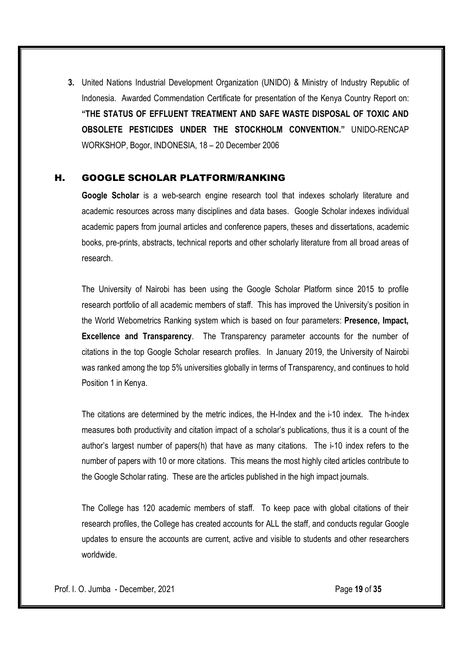3. United Nations Industrial Development Organization (UNIDO) & Ministry of Industry Republic of Indonesia. Awarded Commendation Certificate for presentation of the Kenya Country Report on: "THE STATUS OF EFFLUENT TREATMENT AND SAFE WASTE DISPOSAL OF TOXIC AND OBSOLETE PESTICIDES UNDER THE STOCKHOLM CONVENTION." UNIDO-RENCAP WORKSHOP, Bogor, INDONESIA, 18 – 20 December 2006

### H. GOOGLE SCHOLAR PLATFORM/RANKING

Google Scholar is a web-search engine research tool that indexes scholarly literature and academic resources across many disciplines and data bases. Google Scholar indexes individual academic papers from journal articles and conference papers, theses and dissertations, academic books, pre-prints, abstracts, technical reports and other scholarly literature from all broad areas of research.

The University of Nairobi has been using the Google Scholar Platform since 2015 to profile research portfolio of all academic members of staff. This has improved the University's position in the World Webometrics Ranking system which is based on four parameters: Presence, Impact, Excellence and Transparency. The Transparency parameter accounts for the number of citations in the top Google Scholar research profiles. In January 2019, the University of Nairobi was ranked among the top 5% universities globally in terms of Transparency, and continues to hold Position 1 in Kenya.

The citations are determined by the metric indices, the H-Index and the i-10 index. The h-index measures both productivity and citation impact of a scholar's publications, thus it is a count of the author's largest number of papers(h) that have as many citations. The i-10 index refers to the number of papers with 10 or more citations. This means the most highly cited articles contribute to the Google Scholar rating. These are the articles published in the high impact journals.

The College has 120 academic members of staff. To keep pace with global citations of their research profiles, the College has created accounts for ALL the staff, and conducts regular Google updates to ensure the accounts are current, active and visible to students and other researchers worldwide.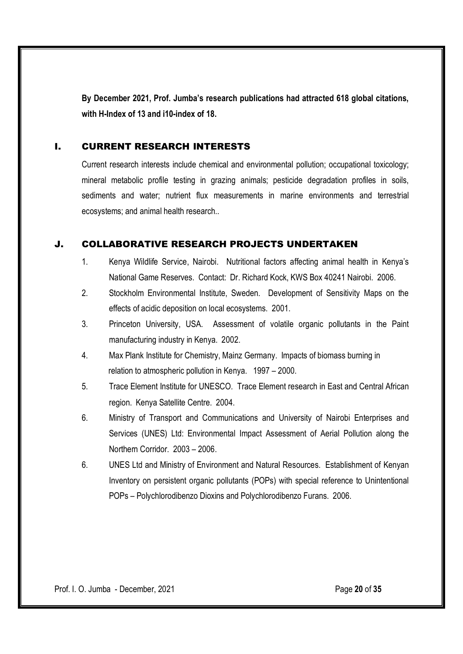By December 2021, Prof. Jumba's research publications had attracted 618 global citations, with H-Index of 13 and i10-index of 18.

### I. CURRENT RESEARCH INTERESTS

Current research interests include chemical and environmental pollution; occupational toxicology; mineral metabolic profile testing in grazing animals; pesticide degradation profiles in soils, sediments and water; nutrient flux measurements in marine environments and terrestrial ecosystems; and animal health research..

### J. COLLABORATIVE RESEARCH PROJECTS UNDERTAKEN

- 1. Kenya Wildlife Service, Nairobi. Nutritional factors affecting animal health in Kenya's National Game Reserves. Contact: Dr. Richard Kock, KWS Box 40241 Nairobi. 2006.
- 2. Stockholm Environmental Institute, Sweden. Development of Sensitivity Maps on the effects of acidic deposition on local ecosystems. 2001.
- 3. Princeton University, USA. Assessment of volatile organic pollutants in the Paint manufacturing industry in Kenya. 2002.
- 4. Max Plank Institute for Chemistry, Mainz Germany. Impacts of biomass burning in relation to atmospheric pollution in Kenya. 1997 – 2000.
- 5. Trace Element Institute for UNESCO. Trace Element research in East and Central African region. Kenya Satellite Centre. 2004.
- 6. Ministry of Transport and Communications and University of Nairobi Enterprises and Services (UNES) Ltd: Environmental Impact Assessment of Aerial Pollution along the Northern Corridor. 2003 – 2006.
- 6. UNES Ltd and Ministry of Environment and Natural Resources. Establishment of Kenyan Inventory on persistent organic pollutants (POPs) with special reference to Unintentional POPs – Polychlorodibenzo Dioxins and Polychlorodibenzo Furans. 2006.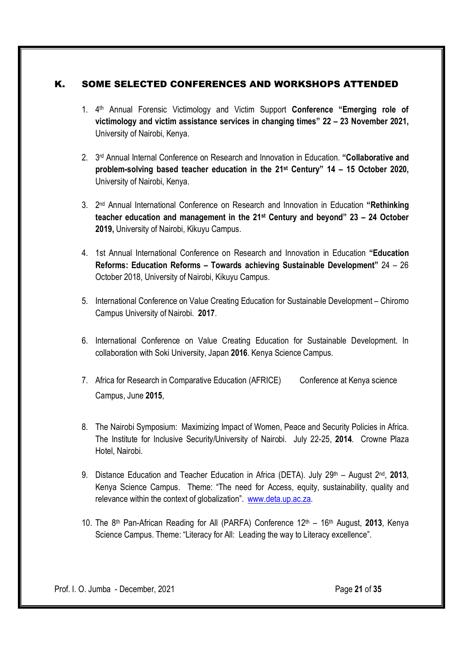### K. SOME SELECTED CONFERENCES AND WORKSHOPS ATTENDED

- 1. 4<sup>th</sup> Annual Forensic Victimology and Victim Support **Conference "Emerging role of** victimology and victim assistance services in changing times" 22 – 23 November 2021, University of Nairobi, Kenya.
- 2. 3<sup>rd</sup> Annual Internal Conference on Research and Innovation in Education. "Collaborative and problem-solving based teacher education in the 21st Century" 14 – 15 October 2020, University of Nairobi, Kenya.
- 3. 2<sup>nd</sup> Annual International Conference on Research and Innovation in Education "Rethinking teacher education and management in the 21st Century and beyond" 23 – 24 October 2019, University of Nairobi, Kikuyu Campus.
- 4. 1st Annual International Conference on Research and Innovation in Education "Education Reforms: Education Reforms – Towards achieving Sustainable Development" 24 – 26 October 2018, University of Nairobi, Kikuyu Campus.
- 5. International Conference on Value Creating Education for Sustainable Development Chiromo Campus University of Nairobi. 2017.
- 6. International Conference on Value Creating Education for Sustainable Development. In collaboration with Soki University, Japan 2016. Kenya Science Campus.
- 7. Africa for Research in Comparative Education (AFRICE) Conference at Kenya science Campus, June 2015,
- 8. The Nairobi Symposium: Maximizing Impact of Women, Peace and Security Policies in Africa. The Institute for Inclusive Security/University of Nairobi. July 22-25, 2014. Crowne Plaza Hotel, Nairobi.
- 9. Distance Education and Teacher Education in Africa (DETA). July  $29^{th}$  August  $2^{nd}$ , 2013, Kenya Science Campus. Theme: "The need for Access, equity, sustainability, quality and relevance within the context of globalization". www.deta.up.ac.za.
- 10. The 8<sup>th</sup> Pan-African Reading for All (PARFA) Conference 12<sup>th</sup> 16<sup>th</sup> August, 2013, Kenya Science Campus. Theme: "Literacy for All: Leading the way to Literacy excellence".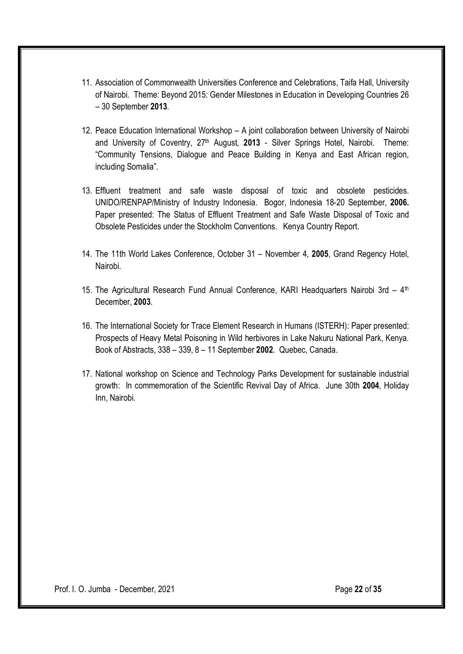- 11. Association of Commonwealth Universities Conference and Celebrations, Taifa Hall, University of Nairobi. Theme: Beyond 2015: Gender Milestones in Education in Developing Countries 26 – 30 September 2013.
- 12. Peace Education International Workshop A joint collaboration between University of Nairobi and University of Coventry, 27<sup>th</sup> August, 2013 - Silver Springs Hotel, Nairobi. Theme: "Community Tensions, Dialogue and Peace Building in Kenya and East African region, including Somalia".
- 13. Effluent treatment and safe waste disposal of toxic and obsolete pesticides. UNIDO/RENPAP/Ministry of Industry Indonesia. Bogor, Indonesia 18-20 September, 2006. Paper presented: The Status of Effluent Treatment and Safe Waste Disposal of Toxic and Obsolete Pesticides under the Stockholm Conventions. Kenya Country Report.
- 14. The 11th World Lakes Conference, October 31 November 4, 2005, Grand Regency Hotel, Nairobi.
- 15. The Agricultural Research Fund Annual Conference, KARI Headquarters Nairobi 3rd 4<sup>th</sup> December, 2003.
- 16. The International Society for Trace Element Research in Humans (ISTERH): Paper presented: Prospects of Heavy Metal Poisoning in Wild herbivores in Lake Nakuru National Park, Kenya. Book of Abstracts, 338 – 339, 8 – 11 September 2002. Quebec, Canada.
- 17. National workshop on Science and Technology Parks Development for sustainable industrial growth: In commemoration of the Scientific Revival Day of Africa. June 30th 2004, Holiday Inn, Nairobi.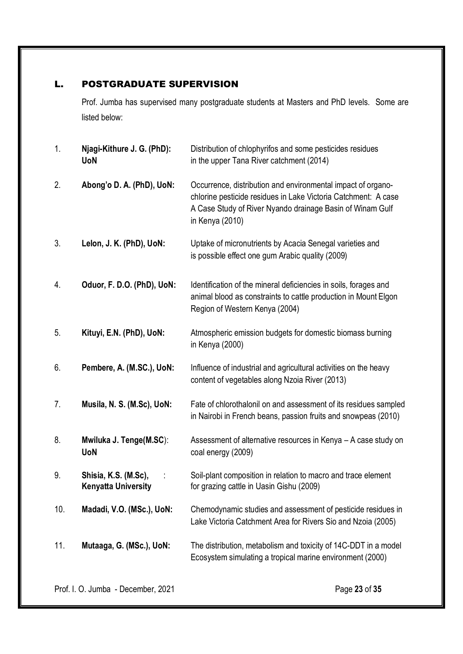### L. POSTGRADUATE SUPERVISION

Prof. Jumba has supervised many postgraduate students at Masters and PhD levels. Some are listed below:

| 1.  | Njagi-Kithure J. G. (PhD):<br><b>UoN</b>           | Distribution of chlophyrifos and some pesticides residues<br>in the upper Tana River catchment (2014)                                                                                                          |
|-----|----------------------------------------------------|----------------------------------------------------------------------------------------------------------------------------------------------------------------------------------------------------------------|
| 2.  | Abong'o D. A. (PhD), UoN:                          | Occurrence, distribution and environmental impact of organo-<br>chlorine pesticide residues in Lake Victoria Catchment: A case<br>A Case Study of River Nyando drainage Basin of Winam Gulf<br>in Kenya (2010) |
| 3.  | Lelon, J. K. (PhD), UoN:                           | Uptake of micronutrients by Acacia Senegal varieties and<br>is possible effect one gum Arabic quality (2009)                                                                                                   |
| 4.  | Oduor, F. D.O. (PhD), UoN:                         | Identification of the mineral deficiencies in soils, forages and<br>animal blood as constraints to cattle production in Mount Elgon<br>Region of Western Kenya (2004)                                          |
| 5.  | Kituyi, E.N. (PhD), UoN:                           | Atmospheric emission budgets for domestic biomass burning<br>in Kenya (2000)                                                                                                                                   |
| 6.  | Pembere, A. (M.SC.), UoN:                          | Influence of industrial and agricultural activities on the heavy<br>content of vegetables along Nzoia River (2013)                                                                                             |
| 7.  | Musila, N. S. (M.Sc), UoN:                         | Fate of chlorothalonil on and assessment of its residues sampled<br>in Nairobi in French beans, passion fruits and snowpeas (2010)                                                                             |
| 8.  | Mwiluka J. Tenge(M.SC):<br><b>UoN</b>              | Assessment of alternative resources in Kenya - A case study on<br>coal energy (2009)                                                                                                                           |
| 9.  | Shisia, K.S. (M.Sc),<br><b>Kenyatta University</b> | Soil-plant composition in relation to macro and trace element<br>for grazing cattle in Uasin Gishu (2009)                                                                                                      |
| 10. | Madadi, V.O. (MSc.), UoN:                          | Chemodynamic studies and assessment of pesticide residues in<br>Lake Victoria Catchment Area for Rivers Sio and Nzoia (2005)                                                                                   |
| 11. | Mutaaga, G. (MSc.), UoN:                           | The distribution, metabolism and toxicity of 14C-DDT in a model<br>Ecosystem simulating a tropical marine environment (2000)                                                                                   |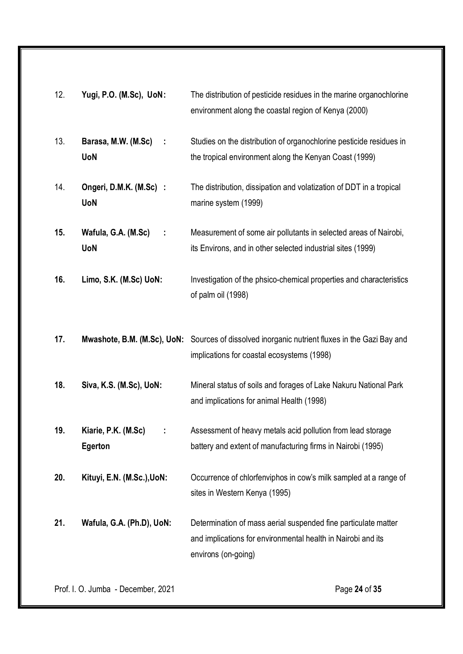| 12. | Yugi, P.O. (M.Sc), UoN:                             | The distribution of pesticide residues in the marine organochlorine<br>environment along the coastal region of Kenya (2000)                           |
|-----|-----------------------------------------------------|-------------------------------------------------------------------------------------------------------------------------------------------------------|
| 13. | Barasa, M.W. (M.Sc)<br>$\mathbb{R}^2$<br><b>UoN</b> | Studies on the distribution of organochlorine pesticide residues in<br>the tropical environment along the Kenyan Coast (1999)                         |
| 14. | Ongeri, D.M.K. (M.Sc) :<br><b>UoN</b>               | The distribution, dissipation and volatization of DDT in a tropical<br>marine system (1999)                                                           |
| 15. | Wafula, G.A. (M.Sc)<br>÷<br><b>UoN</b>              | Measurement of some air pollutants in selected areas of Nairobi,<br>its Environs, and in other selected industrial sites (1999)                       |
| 16. | Limo, S.K. (M.Sc) UoN:                              | Investigation of the phsico-chemical properties and characteristics<br>of palm oil (1998)                                                             |
| 17. |                                                     | Mwashote, B.M. (M.Sc), UoN: Sources of dissolved inorganic nutrient fluxes in the Gazi Bay and<br>implications for coastal ecosystems (1998)          |
| 18. | Siva, K.S. (M.Sc), UoN:                             | Mineral status of soils and forages of Lake Nakuru National Park<br>and implications for animal Health (1998)                                         |
| 19. | Kiarie, P.K. (M.Sc)<br>Egerton                      | Assessment of heavy metals acid pollution from lead storage<br>battery and extent of manufacturing firms in Nairobi (1995)                            |
| 20. | Kituyi, E.N. (M.Sc.), UoN:                          | Occurrence of chlorfenviphos in cow's milk sampled at a range of<br>sites in Western Kenya (1995)                                                     |
| 21. | Wafula, G.A. (Ph.D), UoN:                           | Determination of mass aerial suspended fine particulate matter<br>and implications for environmental health in Nairobi and its<br>environs (on-going) |

Prof. I. O. Jumba - December, 2021 **Page 24 of 35**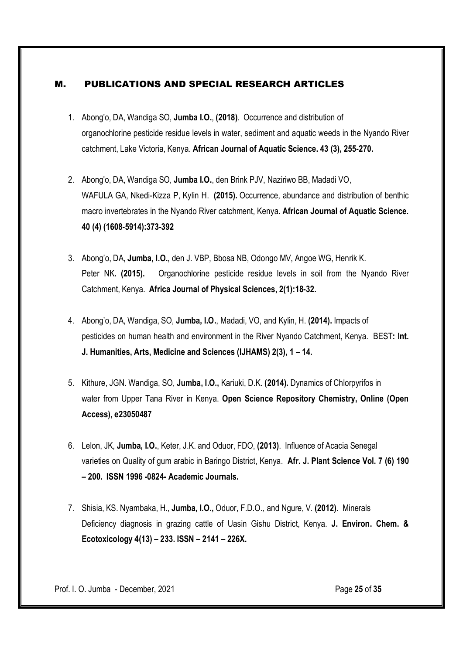### M. PUBLICATIONS AND SPECIAL RESEARCH ARTICLES

- 1. Abong'o, DA, Wandiga SO, Jumba I.O., (2018). Occurrence and distribution of organochlorine pesticide residue levels in water, sediment and aquatic weeds in the Nyando River catchment, Lake Victoria, Kenya. African Journal of Aquatic Science. 43 (3), 255-270.
- 2. Abong'o, DA, Wandiga SO, Jumba I.O., den Brink PJV, Naziriwo BB, Madadi VO, WAFULA GA, Nkedi-Kizza P, Kylin H. (2015). Occurrence, abundance and distribution of benthic macro invertebrates in the Nyando River catchment, Kenya. African Journal of Aquatic Science. 40 (4) (1608-5914):373-392
- 3. Abong'o, DA, Jumba, I.O., den J. VBP, Bbosa NB, Odongo MV, Angoe WG, Henrik K. Peter NK. (2015). Organochlorine pesticide residue levels in soil from the Nyando River Catchment, Kenya. Africa Journal of Physical Sciences, 2(1):18-32.
- 4. Abong'o, DA, Wandiga, SO, Jumba, I.O., Madadi, VO, and Kylin, H. (2014). Impacts of pesticides on human health and environment in the River Nyando Catchment, Kenya. BEST: Int. J. Humanities, Arts, Medicine and Sciences (IJHAMS) 2(3), 1 – 14.
- 5. Kithure, JGN. Wandiga, SO, Jumba, I.O., Kariuki, D.K. (2014). Dynamics of Chlorpyrifos in water from Upper Tana River in Kenya. Open Science Repository Chemistry, Online (Open Access), e23050487
- 6. Lelon, JK, Jumba, I.O., Keter, J.K. and Oduor, FDO, (2013). Influence of Acacia Senegal varieties on Quality of gum arabic in Baringo District, Kenya. Afr. J. Plant Science Vol. 7 (6) 190 – 200. ISSN 1996 -0824- Academic Journals.
- 7. Shisia, KS. Nyambaka, H., Jumba, I.O., Oduor, F.D.O., and Ngure, V. (2012). Minerals Deficiency diagnosis in grazing cattle of Uasin Gishu District, Kenya. J. Environ. Chem. & Ecotoxicology 4(13) – 233. ISSN – 2141 – 226X.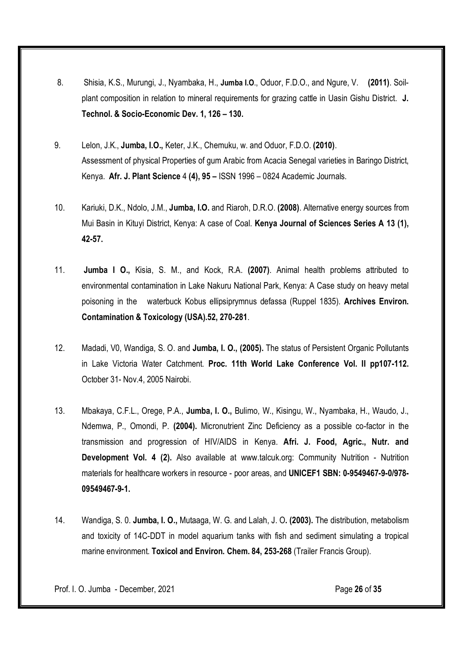- 8. Shisia, K.S., Murungi, J., Nyambaka, H., Jumba I.O., Oduor, F.D.O., and Ngure, V. (2011). Soilplant composition in relation to mineral requirements for grazing cattle in Uasin Gishu District. J. Technol. & Socio-Economic Dev. 1, 126 – 130.
- 9. Lelon, J.K., Jumba, I.O., Keter, J.K., Chemuku, w. and Oduor, F.D.O. (2010). Assessment of physical Properties of gum Arabic from Acacia Senegal varieties in Baringo District, Kenya. Afr. J. Plant Science 4 (4), 95 – ISSN 1996 – 0824 Academic Journals.
- 10. Kariuki, D.K., Ndolo, J.M., Jumba, I.O. and Riaroh, D.R.O. (2008). Alternative energy sources from Mui Basin in Kituyi District, Kenya: A case of Coal. Kenya Journal of Sciences Series A 13 (1), 42-57.
- 11. Jumba I O., Kisia, S. M., and Kock, R.A. (2007). Animal health problems attributed to environmental contamination in Lake Nakuru National Park, Kenya: A Case study on heavy metal poisoning in the waterbuck Kobus ellipsiprymnus defassa (Ruppel 1835). Archives Environ. Contamination & Toxicology (USA).52, 270-281.
- 12. Madadi, V0, Wandiga, S. O. and Jumba, I. O., (2005). The status of Persistent Organic Pollutants in Lake Victoria Water Catchment. Proc. 11th World Lake Conference Vol. II pp107-112. October 31- Nov.4, 2005 Nairobi.
- 13. Mbakaya, C.F.L., Orege, P.A., Jumba, I. O., Bulimo, W., Kisingu, W., Nyambaka, H., Waudo, J., Ndemwa, P., Omondi, P. (2004). Micronutrient Zinc Deficiency as a possible co-factor in the transmission and progression of HIV/AIDS in Kenya. Afri. J. Food, Agric., Nutr. and Development Vol. 4 (2). Also available at www.talcuk.org: Community Nutrition - Nutrition materials for healthcare workers in resource - poor areas, and UNICEF1 SBN: 0-9549467-9-0/978- 09549467-9-1.
- 14. Wandiga, S. 0. Jumba, I. O., Mutaaga, W. G. and Lalah, J. O. (2003). The distribution, metabolism and toxicity of 14C-DDT in model aquarium tanks with fish and sediment simulating a tropical marine environment. Toxicol and Environ. Chem. 84, 253-268 (Trailer Francis Group).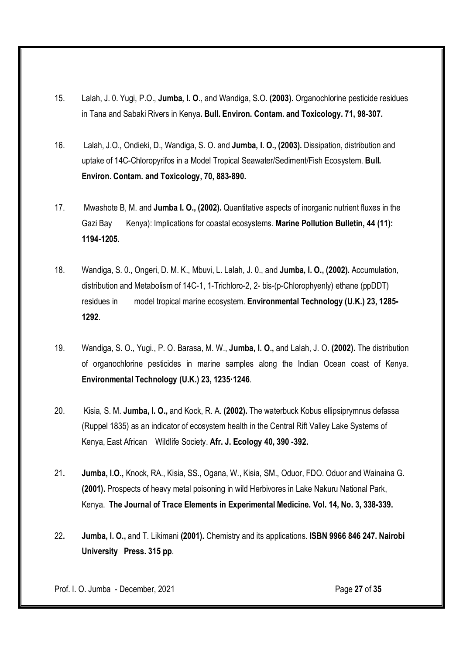- 15. Lalah, J. 0. Yugi, P.O., Jumba, I. O., and Wandiga, S.O. (2003). Organochlorine pesticide residues in Tana and Sabaki Rivers in Kenya. Bull. Environ. Contam. and Toxicology. 71, 98-307.
- 16. Lalah, J.O., Ondieki, D., Wandiga, S. O. and Jumba, I. O., (2003). Dissipation, distribution and uptake of 14C-Chloropyrifos in a Model Tropical Seawater/Sediment/Fish Ecosystem. Bull. Environ. Contam. and Toxicology, 70, 883-890.
- 17. Mwashote B, M. and Jumba I. O., (2002). Quantitative aspects of inorganic nutrient fluxes in the Gazi Bay Kenya): Implications for coastal ecosystems. Marine Pollution Bulletin, 44 (11): 1194-1205.
- 18. Wandiga, S. 0., Ongeri, D. M. K., Mbuvi, L. Lalah, J. 0., and Jumba, I. O., (2002). Accumulation, distribution and Metabolism of 14C-1, 1-Trichloro-2, 2- bis-(p-Chlorophyenly) ethane (ppDDT) residues in model tropical marine ecosystem. Environmental Technology (U.K.) 23, 1285- 1292.
- 19. Wandiga, S. O., Yugi., P. O. Barasa, M. W., Jumba, I. O., and Lalah, J. O. (2002). The distribution of organochlorine pesticides in marine samples along the Indian Ocean coast of Kenya. Environmental Technology (U.K.) 23, 1235·1246.
- 20. Kisia, S. M. Jumba, I. O., and Kock, R. A. (2002). The waterbuck Kobus ellipsiprymnus defassa (Ruppel 1835) as an indicator of ecosystem health in the Central Rift Valley Lake Systems of Kenya, East African Wildlife Society. Afr. J. Ecology 40, 390 -392.
- 21. Jumba, I.O., Knock, RA., Kisia, SS., Ogana, W., Kisia, SM., Oduor, FDO. Oduor and Wainaina G. (2001). Prospects of heavy metal poisoning in wild Herbivores in Lake Nakuru National Park, Kenya. The Journal of Trace Elements in Experimental Medicine. Vol. 14, No. 3, 338-339.
- 22. Jumba, I. O., and T. Likimani (2001). Chemistry and its applications. ISBN 9966 846 247. Nairobi University Press. 315 pp.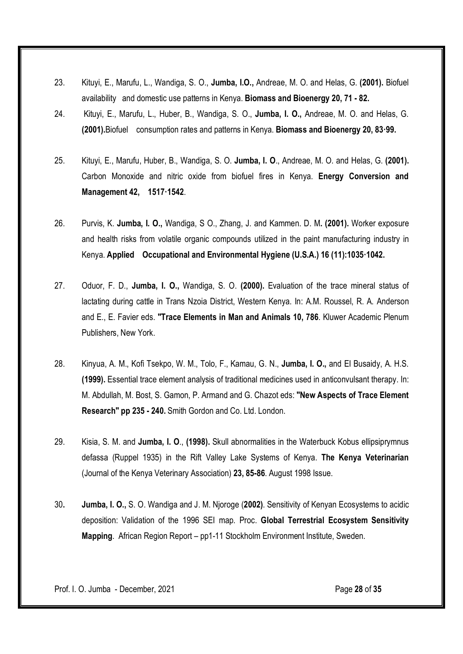- 23. Kituyi, E., Marufu, L., Wandiga, S. O., Jumba, I.O., Andreae, M. O. and Helas, G. (2001). Biofuel availability and domestic use patterns in Kenya. Biomass and Bioenergy 20, 71 - 82.
- 24. Kituyi, E., Marufu, L., Huber, B., Wandiga, S. O., Jumba, I. O., Andreae, M. O. and Helas, G. (2001).Biofuel consumption rates and patterns in Kenya. Biomass and Bioenergy 20, 83·99.
- 25. Kituyi, E., Marufu, Huber, B., Wandiga, S. O. Jumba, I. O., Andreae, M. O. and Helas, G. (2001). Carbon Monoxide and nitric oxide from biofuel fires in Kenya. Energy Conversion and Management 42, 1517·1542.
- 26. Purvis, K. Jumba, I. O., Wandiga, S O., Zhang, J. and Kammen. D. M. (2001). Worker exposure and health risks from volatile organic compounds utilized in the paint manufacturing industry in Kenya. Applied Occupational and Environmental Hygiene (U.S.A.) 16 (11):1035·1042.
- 27. Oduor, F. D., Jumba, I. O., Wandiga, S. O. (2000). Evaluation of the trace mineral status of lactating during cattle in Trans Nzoia District, Western Kenya. In: A.M. Roussel, R. A. Anderson and E., E. Favier eds. "Trace Elements in Man and Animals 10, 786. Kluwer Academic Plenum Publishers, New York.
- 28. Kinyua, A. M., Kofi Tsekpo, W. M., Tolo, F., Kamau, G. N., Jumba, I. O., and EI Busaidy, A. H.S. (1999). Essential trace element analysis of traditional medicines used in anticonvulsant therapy. In: M. Abdullah, M. Bost, S. Gamon, P. Armand and G. Chazot eds: "New Aspects of Trace Element Research" pp 235 - 240. Smith Gordon and Co. Ltd. London.
- 29. Kisia, S. M. and Jumba, I. O., (1998). Skull abnormalities in the Waterbuck Kobus ellipsiprymnus defassa (Ruppel 1935) in the Rift Valley Lake Systems of Kenya. The Kenya Veterinarian (Journal of the Kenya Veterinary Association) 23, 85-86. August 1998 Issue.
- 30. Jumba, I. O., S. O. Wandiga and J. M. Njoroge (2002). Sensitivity of Kenyan Ecosystems to acidic deposition: Validation of the 1996 SEI map. Proc. Global Terrestrial Ecosystem Sensitivity Mapping. African Region Report – pp1-11 Stockholm Environment Institute, Sweden.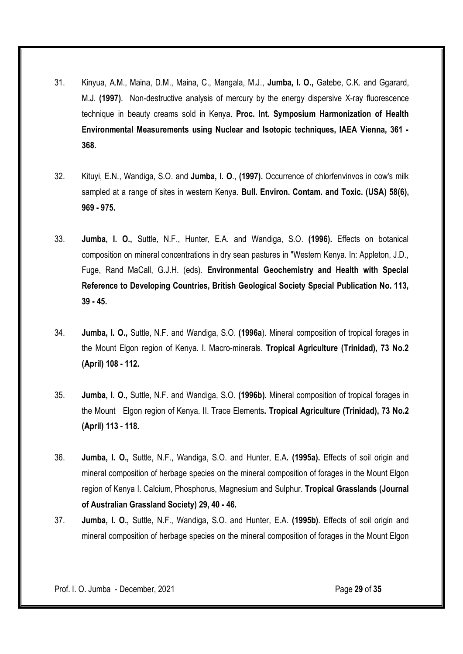- 31. Kinyua, A.M., Maina, D.M., Maina, C., Mangala, M.J., Jumba, I. O., Gatebe, C.K. and Ggarard, M.J. (1997). Non-destructive analysis of mercury by the energy dispersive X-ray fluorescence technique in beauty creams sold in Kenya. Proc. Int. Symposium Harmonization of Health Environmental Measurements using Nuclear and Isotopic techniques, IAEA Vienna, 361 - 368.
- 32. Kituyi, E.N., Wandiga, S.O. and Jumba, I. O., (1997). Occurrence of chlorfenvinvos in cow's milk sampled at a range of sites in western Kenya. Bull. Environ. Contam. and Toxic. (USA) 58(6). 969 - 975.
- 33. Jumba, I. O., Suttle, N.F., Hunter, E.A. and Wandiga, S.O. (1996). Effects on botanical composition on mineral concentrations in dry sean pastures in "Western Kenya. In: Appleton, J.D., Fuge, Rand MaCall, G.J.H. (eds). Environmental Geochemistry and Health with Special Reference to Developing Countries, British Geological Society Special Publication No. 113, 39 - 45.
- 34. Jumba, I. O., Suttle, N.F. and Wandiga, S.O. (1996a). Mineral composition of tropical forages in the Mount Elgon region of Kenya. I. Macro-minerals. Tropical Agriculture (Trinidad), 73 No.2 (April) 108 - 112.
- 35. Jumba, I. O., Suttle, N.F. and Wandiga, S.O. (1996b). Mineral composition of tropical forages in the Mount Elgon region of Kenya. II. Trace Elements. Tropical Agriculture (Trinidad), 73 No.2 (April) 113 - 118.
- 36. Jumba, I. O., Suttle, N.F., Wandiga, S.O. and Hunter, E.A. (1995a). Effects of soil origin and mineral composition of herbage species on the mineral composition of forages in the Mount Elgon region of Kenya I. Calcium, Phosphorus, Magnesium and Sulphur. Tropical Grasslands (Journal of Australian Grassland Society) 29, 40 - 46.
- 37. Jumba, I. O., Suttle, N.F., Wandiga, S.O. and Hunter, E.A. (1995b). Effects of soil origin and mineral composition of herbage species on the mineral composition of forages in the Mount Elgon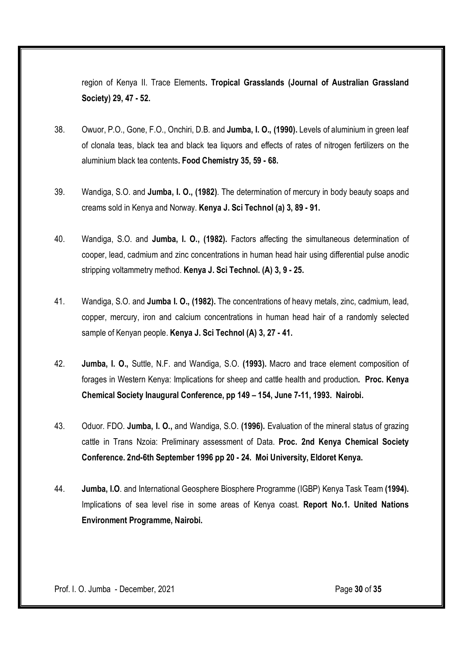region of Kenya II. Trace Elements. Tropical Grasslands (Journal of Australian Grassland Society) 29, 47 - 52.

- 38. Owuor, P.O., Gone, F.O., Onchiri, D.B. and Jumba, I. O., (1990). Levels of aluminium in green leaf of clonala teas, black tea and black tea liquors and effects of rates of nitrogen fertilizers on the aluminium black tea contents. Food Chemistry 35, 59 - 68.
- 39. Wandiga, S.O. and Jumba, I. O., (1982). The determination of mercury in body beauty soaps and creams sold in Kenya and Norway. Kenya J. Sci Technol (a) 3, 89 - 91.
- 40. Wandiga, S.O. and Jumba, I. O., (1982). Factors affecting the simultaneous determination of cooper, lead, cadmium and zinc concentrations in human head hair using differential pulse anodic stripping voltammetry method. Kenya J. Sci Technol. (A) 3, 9 - 25.
- 41. Wandiga, S.O. and Jumba I. O., (1982). The concentrations of heavy metals, zinc, cadmium, lead, copper, mercury, iron and calcium concentrations in human head hair of a randomly selected sample of Kenyan people. Kenya J. Sci Technol (A) 3, 27 - 41.
- 42. Jumba, I. O., Suttle, N.F. and Wandiga, S.O. (1993). Macro and trace element composition of forages in Western Kenya: Implications for sheep and cattle health and production. Proc. Kenya Chemical Society Inaugural Conference, pp 149 – 154, June 7-11, 1993. Nairobi.
- 43. Oduor. FDO. Jumba, I. O., and Wandiga, S.O. (1996). Evaluation of the mineral status of grazing cattle in Trans Nzoia: Preliminary assessment of Data. Proc. 2nd Kenya Chemical Society Conference. 2nd-6th September 1996 pp 20 - 24. Moi University, Eldoret Kenya.
- 44. Jumba, I.O. and International Geosphere Biosphere Programme (IGBP) Kenya Task Team (1994). Implications of sea level rise in some areas of Kenya coast. Report No.1. United Nations Environment Programme, Nairobi.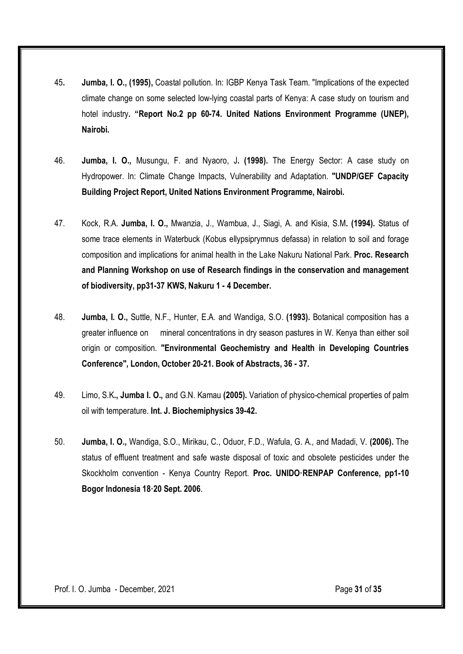- 45. Jumba, I. O., (1995), Coastal pollution. In: IGBP Kenya Task Team. "Implications of the expected climate change on some selected low-lying coastal parts of Kenya: A case study on tourism and hotel industry. "Report No.2 pp 60-74. United Nations Environment Programme (UNEP), Nairobi.
- 46. Jumba, I. O., Musungu, F. and Nyaoro, J. (1998). The Energy Sector: A case study on Hydropower. In: Climate Change Impacts, Vulnerability and Adaptation. "UNDP/GEF Capacity Building Project Report, United Nations Environment Programme, Nairobi.
- 47. Kock, R.A. Jumba, I. O., Mwanzia, J., Wambua, J., Siagi, A. and Kisia, S.M. (1994). Status of some trace elements in Waterbuck (Kobus ellypsiprymnus defassa) in relation to soil and forage composition and implications for animal health in the Lake Nakuru National Park. Proc. Research and Planning Workshop on use of Research findings in the conservation and management of biodiversity, pp31-37 KWS, Nakuru 1 - 4 December.
- 48. Jumba, I. O., Suttle, N.F., Hunter, E.A. and Wandiga, S.O. (1993). Botanical composition has a greater influence on mineral concentrations in dry season pastures in W. Kenya than either soil origin or composition. "Environmental Geochemistry and Health in Developing Countries Conference", London, October 20-21. Book of Abstracts, 36 - 37.
- 49. Limo, S.K., Jumba I. O., and G.N. Kamau (2005). Variation of physico-chemical properties of palm oil with temperature. Int. J. Biochemiphysics 39-42.
- 50. Jumba, I. O., Wandiga, S.O., Mirikau, C., Oduor, F.D., Wafula, G. A., and Madadi, V. (2006). The status of effluent treatment and safe waste disposal of toxic and obsolete pesticides under the Skockholm convention - Kenya Country Report. Proc. UNIDO·RENPAP Conference, pp1-10 Bogor Indonesia 18·20 Sept. 2006.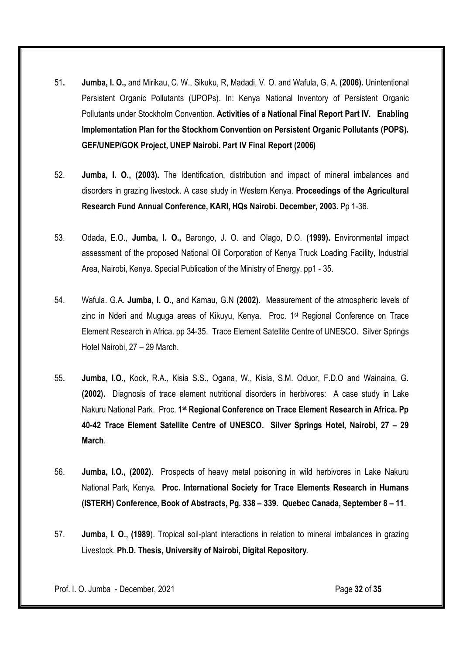- 51. Jumba, I. O., and Mirikau, C. W., Sikuku, R, Madadi, V. O. and Wafula, G. A. (2006). Unintentional Persistent Organic Pollutants (UPOPs). In: Kenya National Inventory of Persistent Organic Pollutants under Stockholm Convention. Activities of a National Final Report Part IV. Enabling Implementation Plan for the Stockhom Convention on Persistent Organic Pollutants (POPS). GEF/UNEP/GOK Project, UNEP Nairobi. Part IV Final Report (2006)
- 52. Jumba, I. O., (2003). The Identification, distribution and impact of mineral imbalances and disorders in grazing livestock. A case study in Western Kenya. Proceedings of the Agricultural Research Fund Annual Conference, KARl, HQs Nairobi. December, 2003. Pp 1-36.
- 53. Odada, E.O., Jumba, I. O., Barongo, J. O. and Olago, D.O. (1999). Environmental impact assessment of the proposed National Oil Corporation of Kenya Truck Loading Facility, Industrial Area, Nairobi, Kenya. Special Publication of the Ministry of Energy. pp1 - 35.
- 54. Wafula. G.A. Jumba, I. O., and Kamau, G.N (2002). Measurement of the atmospheric levels of zinc in Nderi and Muguga areas of Kikuyu, Kenya. Proc.  $1<sup>st</sup>$  Regional Conference on Trace Element Research in Africa. pp 34-35. Trace Element Satellite Centre of UNESCO. Silver Springs Hotel Nairobi, 27 – 29 March.
- 55. Jumba, I.O., Kock, R.A., Kisia S.S., Ogana, W., Kisia, S.M. Oduor, F.D.O and Wainaina, G. (2002). Diagnosis of trace element nutritional disorders in herbivores: A case study in Lake Nakuru National Park. Proc. 1<sup>st</sup> Regional Conference on Trace Element Research in Africa. Pp 40-42 Trace Element Satellite Centre of UNESCO. Silver Springs Hotel, Nairobi, 27 – 29 **March**
- 56. Jumba, I.O., (2002). Prospects of heavy metal poisoning in wild herbivores in Lake Nakuru National Park, Kenya. Proc. International Society for Trace Elements Research in Humans (ISTERH) Conference, Book of Abstracts, Pg. 338 – 339. Quebec Canada, September 8 – 11.
- 57. Jumba, I. O., (1989). Tropical soil-plant interactions in relation to mineral imbalances in grazing Livestock. Ph.D. Thesis, University of Nairobi, Digital Repository.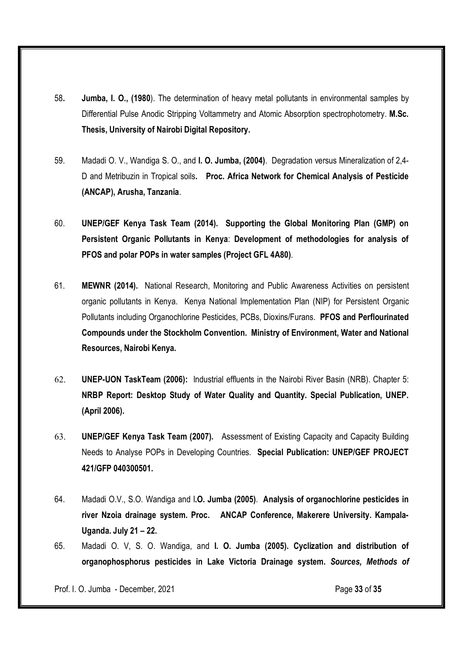- 58. Jumba, I. O., (1980). The determination of heavy metal pollutants in environmental samples by Differential Pulse Anodic Stripping Voltammetry and Atomic Absorption spectrophotometry. M.Sc. Thesis, University of Nairobi Digital Repository.
- 59. Madadi O. V., Wandiga S. O., and I. O. Jumba, (2004). Degradation versus Mineralization of 2,4- D and Metribuzin in Tropical soils. Proc. Africa Network for Chemical Analysis of Pesticide (ANCAP), Arusha, Tanzania.
- 60. UNEP/GEF Kenya Task Team (2014). Supporting the Global Monitoring Plan (GMP) on Persistent Organic Pollutants in Kenya: Development of methodologies for analysis of PFOS and polar POPs in water samples (Project GFL 4A80).
- 61. MEWNR (2014). National Research, Monitoring and Public Awareness Activities on persistent organic pollutants in Kenya. Kenya National Implementation Plan (NIP) for Persistent Organic Pollutants including Organochlorine Pesticides, PCBs, Dioxins/Furans. PFOS and Perflourinated Compounds under the Stockholm Convention. Ministry of Environment, Water and National Resources, Nairobi Kenya.
- 62. UNEP-UON TaskTeam (2006): Industrial effluents in the Nairobi River Basin (NRB). Chapter 5: NRBP Report: Desktop Study of Water Quality and Quantity. Special Publication, UNEP. (April 2006).
- 63. UNEP/GEF Kenya Task Team (2007). Assessment of Existing Capacity and Capacity Building Needs to Analyse POPs in Developing Countries. Special Publication: UNEP/GEF PROJECT 421/GFP 040300501.
- 64. Madadi O.V., S.O. Wandiga and I.O. Jumba (2005). Analysis of organochlorine pesticides in river Nzoia drainage system. Proc. ANCAP Conference, Makerere University. Kampala-Uganda. July 21 – 22.
- 65. Madadi O. V, S. O. Wandiga, and I. O. Jumba (2005). Cyclization and distribution of organophosphorus pesticides in Lake Victoria Drainage system. *Sources, Methods of*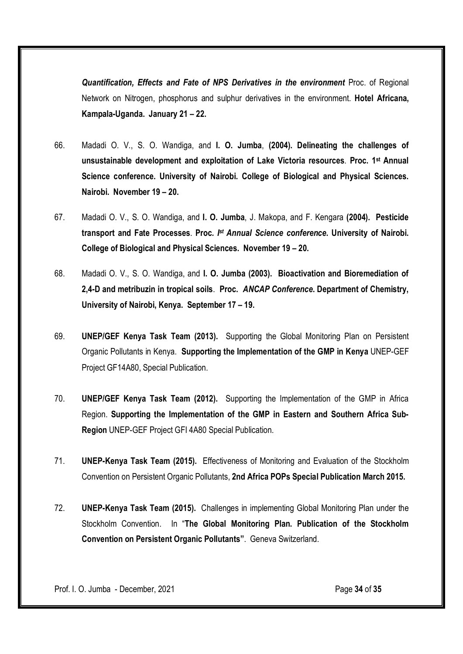*Quantification, Effects and Fate of NPS Derivatives in the environment* Proc. of Regional Network on Nitrogen, phosphorus and sulphur derivatives in the environment. Hotel Africana, Kampala-Uganda. January 21 – 22.

- 66. Madadi O. V., S. O. Wandiga, and I. O. Jumba, (2004). Delineating the challenges of unsustainable development and exploitation of Lake Victoria resources. Proc. 1st Annual Science conference. University of Nairobi. College of Biological and Physical Sciences. Nairobi. November 19 – 20.
- 67. Madadi O. V., S. O. Wandiga, and I. O. Jumba, J. Makopa, and F. Kengara (2004). Pesticide transport and Fate Processes. Proc*. Ist Annual Science conference*. University of Nairobi. College of Biological and Physical Sciences. November 19 – 20.
- 68. Madadi O. V., S. O. Wandiga, and I. O. Jumba (2003). Bioactivation and Bioremediation of 2,4-D and metribuzin in tropical soils. Proc. *ANCAP Conference*. Department of Chemistry, University of Nairobi, Kenya. September 17 – 19.
- 69. UNEP/GEF Kenya Task Team (2013). Supporting the Global Monitoring Plan on Persistent Organic Pollutants in Kenya. Supporting the Implementation of the GMP in Kenya UNEP-GEF Project GF14A80, Special Publication.
- 70. UNEP/GEF Kenya Task Team (2012). Supporting the Implementation of the GMP in Africa Region. Supporting the Implementation of the GMP in Eastern and Southern Africa Sub-Region UNEP-GEF Project GFI 4A80 Special Publication.
- 71. UNEP-Kenya Task Team (2015). Effectiveness of Monitoring and Evaluation of the Stockholm Convention on Persistent Organic Pollutants, 2nd Africa POPs Special Publication March 2015.
- 72. UNEP-Kenya Task Team (2015). Challenges in implementing Global Monitoring Plan under the Stockholm Convention. In "The Global Monitoring Plan. Publication of the Stockholm Convention on Persistent Organic Pollutants". Geneva Switzerland.